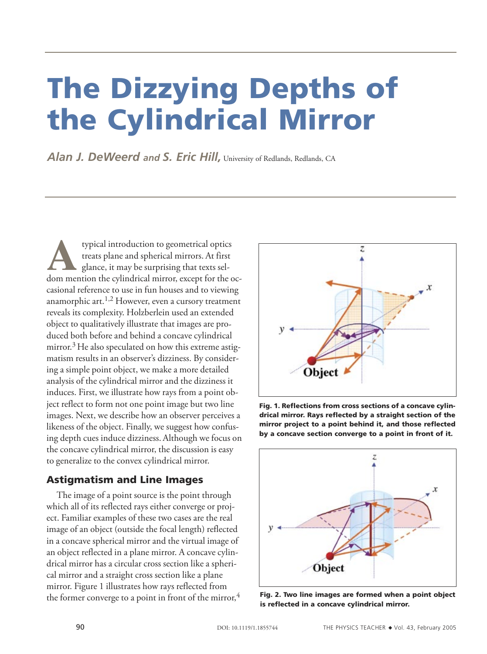# The Dizzying Depths of the Cylindrical Mirror

Alan J. DeWeerd and S. Eric Hill, University of Redlands, Redlands, CA

**A**typical introduction to geometrical optics treats plane and spherical mirrors. At first glance, it may be surprising that texts seldom mention the cylindrical mirror, except for the occasional reference to use in fun houses and to viewing anamorphic art.<sup>1,2</sup> However, even a cursory treatment reveals its complexity. Holzberlein used an extended object to qualitatively illustrate that images are produced both before and behind a concave cylindrical mirror.<sup>3</sup> He also speculated on how this extreme astigmatism results in an observer's dizziness. By considering a simple point object, we make a more detailed analysis of the cylindrical mirror and the dizziness it induces. First, we illustrate how rays from a point object reflect to form not one point image but two line images. Next, we describe how an observer perceives a likeness of the object. Finally, we suggest how confusing depth cues induce dizziness. Although we focus on the concave cylindrical mirror, the discussion is easy to generalize to the convex cylindrical mirror.

## Astigmatism and Line Images

The image of a point source is the point through which all of its reflected rays either converge or project. Familiar examples of these two cases are the real image of an object (outside the focal length) reflected in a concave spherical mirror and the virtual image of an object reflected in a plane mirror. A concave cylindrical mirror has a circular cross section like a spherical mirror and a straight cross section like a plane mirror. Figure 1 illustrates how rays reflected from the former converge to a point in front of the mirror, $4$ 



Fig. 1. Reflections from cross sections of a concave cylindrical mirror. Rays reflected by a straight section of the mirror project to a point behind it, and those reflected by a concave section converge to a point in front of it.



Fig. 2. Two line images are formed when a point object is reflected in a concave cylindrical mirror.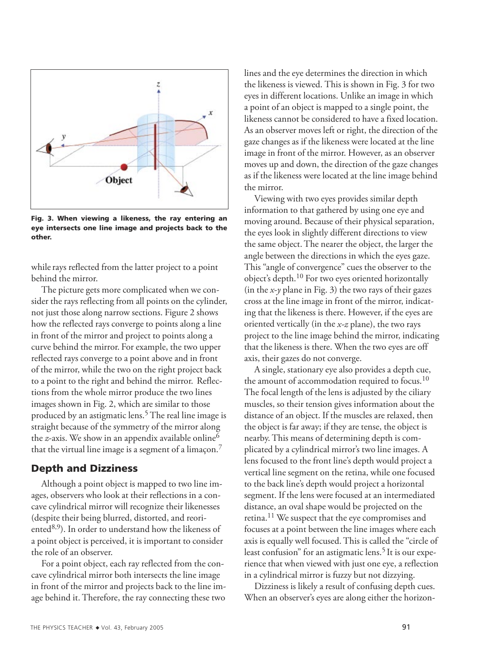

Fig. 3. When viewing a likeness, the ray entering an eye intersects one line image and projects back to the other.

while rays reflected from the latter project to a point behind the mirror.

The picture gets more complicated when we consider the rays reflecting from all points on the cylinder, not just those along narrow sections. Figure 2 shows how the reflected rays converge to points along a line in front of the mirror and project to points along a curve behind the mirror. For example, the two upper reflected rays converge to a point above and in front of the mirror, while the two on the right project back to a point to the right and behind the mirror. Reflections from the whole mirror produce the two lines images shown in Fig. 2, which are similar to those produced by an astigmatic lens.<sup>5</sup> The real line image is straight because of the symmetry of the mirror along the *z*-axis. We show in an appendix available online<sup>6</sup> that the virtual line image is a segment of a limaçon.<sup>7</sup>

#### Depth and Dizziness

Although a point object is mapped to two line images, observers who look at their reflections in a concave cylindrical mirror will recognize their likenesses (despite their being blurred, distorted, and reoriented $8,9$ ). In order to understand how the likeness of a point object is perceived, it is important to consider the role of an observer.

For a point object, each ray reflected from the concave cylindrical mirror both intersects the line image in front of the mirror and projects back to the line image behind it. Therefore, the ray connecting these two

lines and the eye determines the direction in which the likeness is viewed. This is shown in Fig. 3 for two eyes in different locations. Unlike an image in which a point of an object is mapped to a single point, the likeness cannot be considered to have a fixed location. As an observer moves left or right, the direction of the gaze changes as if the likeness were located at the line image in front of the mirror. However, as an observer moves up and down, the direction of the gaze changes as if the likeness were located at the line image behind the mirror.

Viewing with two eyes provides similar depth information to that gathered by using one eye and moving around. Because of their physical separation, the eyes look in slightly different directions to view the same object. The nearer the object, the larger the angle between the directions in which the eyes gaze. This "angle of convergence" cues the observer to the object's depth.10 For two eyes oriented horizontally (in the *x*-*y* plane in Fig. 3) the two rays of their gazes cross at the line image in front of the mirror, indicating that the likeness is there. However, if the eyes are oriented vertically (in the *x-z* plane), the two rays project to the line image behind the mirror, indicating that the likeness is there. When the two eyes are off axis, their gazes do not converge.

A single, stationary eye also provides a depth cue, the amount of accommodation required to focus.<sup>10</sup> The focal length of the lens is adjusted by the ciliary muscles, so their tension gives information about the distance of an object. If the muscles are relaxed, then the object is far away; if they are tense, the object is nearby. This means of determining depth is complicated by a cylindrical mirror's two line images. A lens focused to the front line's depth would project a vertical line segment on the retina, while one focused to the back line's depth would project a horizontal segment. If the lens were focused at an intermediated distance, an oval shape would be projected on the retina.11 We suspect that the eye compromises and focuses at a point between the line images where each axis is equally well focused. This is called the "circle of least confusion" for an astigmatic lens.<sup>5</sup> It is our experience that when viewed with just one eye, a reflection in a cylindrical mirror is fuzzy but not dizzying.

Dizziness is likely a result of confusing depth cues. When an observer's eyes are along either the horizon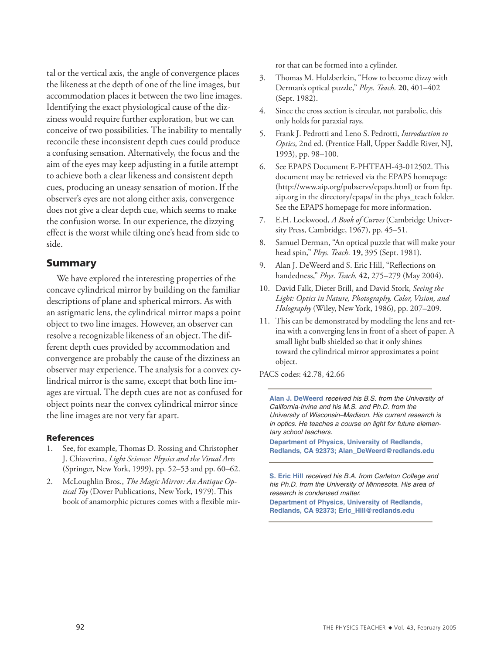tal or the vertical axis, the angle of convergence places the likeness at the depth of one of the line images, but accommodation places it between the two line images. Identifying the exact physiological cause of the dizziness would require further exploration, but we can conceive of two possibilities. The inability to mentally reconcile these inconsistent depth cues could produce a confusing sensation. Alternatively, the focus and the aim of the eyes may keep adjusting in a futile attempt to achieve both a clear likeness and consistent depth cues, producing an uneasy sensation of motion. If the observer's eyes are not along either axis, convergence does not give a clear depth cue, which seems to make the confusion worse. In our experience, the dizzying effect is the worst while tilting one's head from side to side.

### Summary

We have explored the interesting properties of the concave cylindrical mirror by building on the familiar descriptions of plane and spherical mirrors. As with an astigmatic lens, the cylindrical mirror maps a point object to two line images. However, an observer can resolve a recognizable likeness of an object. The different depth cues provided by accommodation and convergence are probably the cause of the dizziness an observer may experience. The analysis for a convex cylindrical mirror is the same, except that both line images are virtual. The depth cues are not as confused for object points near the convex cylindrical mirror since the line images are not very far apart.

#### References

- 1. See, for example, Thomas D. Rossing and Christopher J. Chiaverina, *Light Science: Physics and the Visual Arts*  (Springer, New York, 1999), pp. 52–53 and pp. 60–62.
- 2. McLoughlin Bros., *The Magic Mirror: An Antique Optical Toy* (Dover Publications, New York, 1979). This book of anamorphic pictures comes with a flexible mir-

ror that can be formed into a cylinder.

- 3. Thomas M. Holzberlein, "How to become dizzy with Derman's optical puzzle," *Phys. Teach.* **20**, 401–402 (Sept. 1982).
- 4. Since the cross section is circular, not parabolic, this only holds for paraxial rays.
- 5. Frank J. Pedrotti and Leno S. Pedrotti, *Introduction to Optics,* 2nd ed. (Prentice Hall, Upper Saddle River, NJ, 1993), pp. 98–100.
- 6. See EPAPS Document E-PHTEAH-43-012502. This document may be retrieved via the EPAPS homepage (http://www.aip.org/pubservs/epaps.html) or from ftp. aip.org in the directory/epaps/ in the phys\_teach folder. See the EPAPS homepage for more information.
- 7. E.H. Lockwood, *A Book of Curves* (Cambridge University Press, Cambridge, 1967), pp. 45–51.
- 8. Samuel Derman, "An optical puzzle that will make your head spin," *Phys. Teach.* **19,** 395 (Sept. 1981).
- 9. Alan J. DeWeerd and S. Eric Hill, "Reflections on handedness," *Phys. Teach.* **42**, 275–279 (May 2004).
- 10. David Falk, Dieter Brill, and David Stork, *Seeing the Light: Optics in Nature, Photography, Color, Vision, and Holography* (Wiley, New York, 1986), pp. 207–209.
- 11. This can be demonstrated by modeling the lens and retina with a converging lens in front of a sheet of paper. A small light bulb shielded so that it only shines toward the cylindrical mirror approximates a point object.

PACS codes: 42.78, 42.66

**Alan J. DeWeerd** received his B.S. from the University of California-Irvine and his M.S. and Ph.D. from the University of Wisconsin–Madison. His current research is in optics. He teaches a course on light for future elementary school teachers.

**Department of Physics, University of Redlands, Redlands, CA 92373; Alan\_DeWeerd@redlands.edu**

**S. Eric Hill** received his B.A. from Carleton College and his Ph.D. from the University of Minnesota. His area of research is condensed matter.

**Department of Physics, University of Redlands, Redlands, CA 92373; Eric\_Hill@redlands.edu**